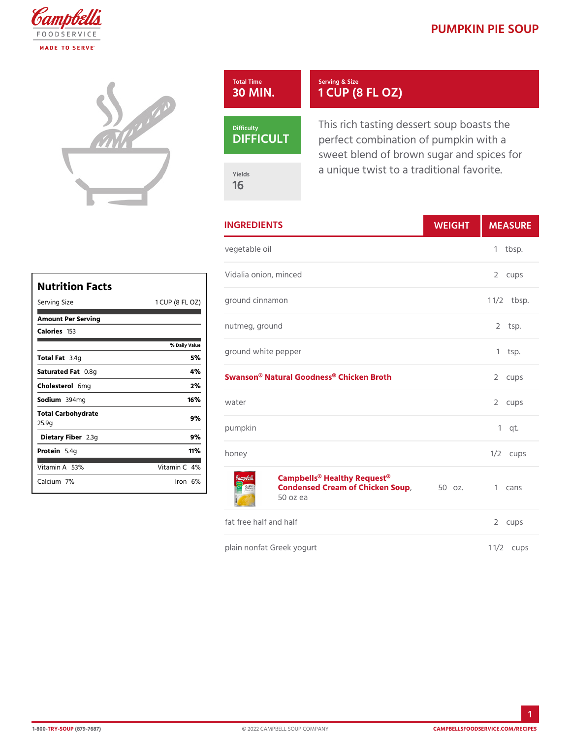## PUMPKIN PIE S



perfect combination of pumpkin sweet blend of brown sugar and a unique twist to a traditional f

Yields 16

|                                     |                       | vegetable oil             |                                   |  |
|-------------------------------------|-----------------------|---------------------------|-----------------------------------|--|
| <b>Nutrition Facts</b>              |                       |                           | Vidalia onion, minced             |  |
| Serving Size                        | 1 CUP (8              | FL ognound cinnamon       |                                   |  |
| Amount Per Serving<br>$C$ alories 3 |                       | nutmeg, ground            |                                   |  |
| Total Fat4g                         | % Daily Vallue<br>5 % |                           | ground white pepper               |  |
| Saturated OF & tg                   | 4 %                   |                           | Swanson <sup>®</sup> Natural Good |  |
| Choleste6oniq<br>Sodium 394mg       | 2%<br>16%             | water                     |                                   |  |
| Total Carbohydrate<br>25.9g         | 9%                    | pumpkin                   |                                   |  |
| Dietary F21b3eg                     | 9%                    |                           |                                   |  |
| Protei5.4g                          | 11%                   | honey                     |                                   |  |
| Vitamin5A %                         | Vitamin4 <b>%</b>     | Campbells <sup>®</sup> He |                                   |  |
| Calcium%                            | $l$ ron $6\%$         |                           | Condensed Cre<br>50 oz ea         |  |

| <b>INGREDIENTS</b>                                                         | WEIGH |              | MEASU                |
|----------------------------------------------------------------------------|-------|--------------|----------------------|
| vegetable oil                                                              |       |              | 1 tbsp.              |
| Vidalia onion, minced                                                      |       |              | 2 cups               |
| ognound cinnamon                                                           |       |              | $1 \frac{1}{2}$ bsp. |
| nutmeg, ground                                                             |       |              | $2$ tsp.             |
| ground white pepper                                                        |       | 1            | tsp.                 |
| Swanson® Natural Goodness® Chicken Broth 2 cups                            |       |              |                      |
| water                                                                      |       |              | 2 cups               |
| pumpkin                                                                    |       |              | $1$ qt.              |
| honey                                                                      |       |              | $1/2$ cups           |
| Campbells® Healthy Request®<br>Condensed Cream of Chicken Spup<br>50 oz ea |       |              | 1 cans               |
| fat free half and half                                                     |       | $\mathbf{2}$ | cups                 |
| plain nonfat Greek yogurt                                                  |       |              | 1 $1/2$ cups         |

1